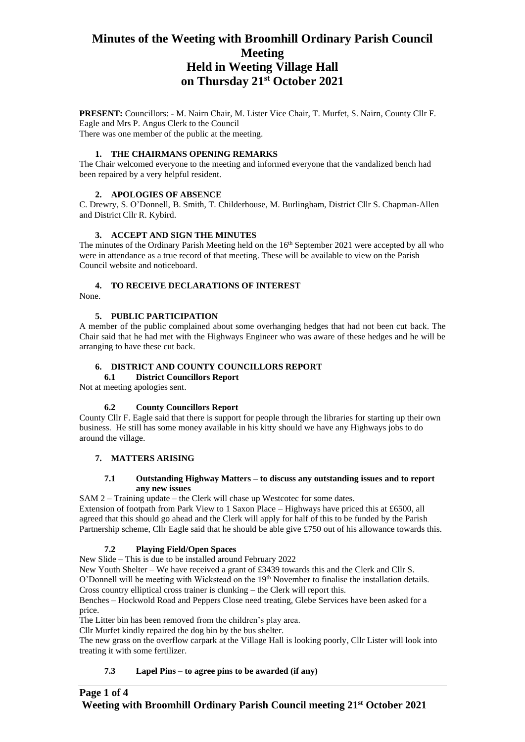# **Minutes of the Weeting with Broomhill Ordinary Parish Council Meeting Held in Weeting Village Hall on Thursday 21st October 2021**

**PRESENT:** Councillors: - M. Nairn Chair, M. Lister Vice Chair, T. Murfet, S. Nairn, County Cllr F. Eagle and Mrs P. Angus Clerk to the Council There was one member of the public at the meeting.

# **1. THE CHAIRMANS OPENING REMARKS**

The Chair welcomed everyone to the meeting and informed everyone that the vandalized bench had been repaired by a very helpful resident.

# **2. APOLOGIES OF ABSENCE**

C. Drewry, S. O'Donnell, B. Smith, T. Childerhouse, M. Burlingham, District Cllr S. Chapman-Allen and District Cllr R. Kybird.

## **3. ACCEPT AND SIGN THE MINUTES**

The minutes of the Ordinary Parish Meeting held on the 16<sup>th</sup> September 2021 were accepted by all who were in attendance as a true record of that meeting. These will be available to view on the Parish Council website and noticeboard.

# **4. TO RECEIVE DECLARATIONS OF INTEREST**

None.

# **5. PUBLIC PARTICIPATION**

A member of the public complained about some overhanging hedges that had not been cut back. The Chair said that he had met with the Highways Engineer who was aware of these hedges and he will be arranging to have these cut back.

# **6. DISTRICT AND COUNTY COUNCILLORS REPORT**

# **6.1 District Councillors Report**

Not at meeting apologies sent.

# **6.2 County Councillors Report**

County Cllr F. Eagle said that there is support for people through the libraries for starting up their own business. He still has some money available in his kitty should we have any Highways jobs to do around the village.

# **7. MATTERS ARISING**

## **7.1 Outstanding Highway Matters – to discuss any outstanding issues and to report any new issues**

SAM 2 – Training update – the Clerk will chase up Westcotec for some dates. Extension of footpath from Park View to 1 Saxon Place – Highways have priced this at £6500, all agreed that this should go ahead and the Clerk will apply for half of this to be funded by the Parish Partnership scheme, Cllr Eagle said that he should be able give £750 out of his allowance towards this.

# **7.2 Playing Field/Open Spaces**

New Slide – This is due to be installed around February 2022

New Youth Shelter – We have received a grant of £3439 towards this and the Clerk and Cllr S. O'Donnell will be meeting with Wickstead on the 19<sup>th</sup> November to finalise the installation details. Cross country elliptical cross trainer is clunking – the Clerk will report this.

Benches – Hockwold Road and Peppers Close need treating, Glebe Services have been asked for a price.

The Litter bin has been removed from the children's play area.

Cllr Murfet kindly repaired the dog bin by the bus shelter.

The new grass on the overflow carpark at the Village Hall is looking poorly, Cllr Lister will look into treating it with some fertilizer.

# **7.3 Lapel Pins – to agree pins to be awarded (if any)**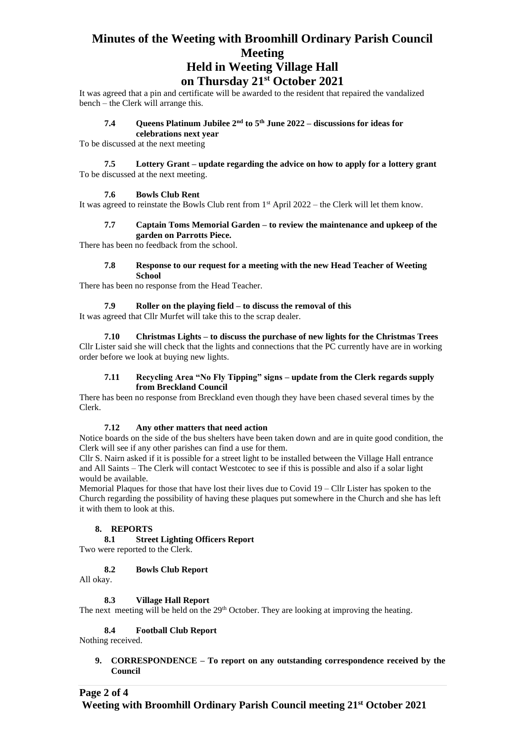# **Minutes of the Weeting with Broomhill Ordinary Parish Council Meeting Held in Weeting Village Hall**

# **on Thursday 21st October 2021**

It was agreed that a pin and certificate will be awarded to the resident that repaired the vandalized bench – the Clerk will arrange this.

# **7.4 Queens Platinum Jubilee 2nd to 5th June 2022 – discussions for ideas for**

**celebrations next year** To be discussed at the next meeting

## **7.5 Lottery Grant – update regarding the advice on how to apply for a lottery grant** To be discussed at the next meeting.

# **7.6 Bowls Club Rent**

It was agreed to reinstate the Bowls Club rent from  $1<sup>st</sup>$  April 2022 – the Clerk will let them know.

## **7.7 Captain Toms Memorial Garden – to review the maintenance and upkeep of the garden on Parrotts Piece.**

There has been no feedback from the school.

#### **7.8 Response to our request for a meeting with the new Head Teacher of Weeting School**

There has been no response from the Head Teacher.

#### **7.9 Roller on the playing field – to discuss the removal of this**

It was agreed that Cllr Murfet will take this to the scrap dealer.

**7.10 Christmas Lights – to discuss the purchase of new lights for the Christmas Trees** Cllr Lister said she will check that the lights and connections that the PC currently have are in working order before we look at buying new lights.

## **7.11 Recycling Area "No Fly Tipping" signs – update from the Clerk regards supply from Breckland Council**

There has been no response from Breckland even though they have been chased several times by the Clerk.

## **7.12 Any other matters that need action**

Notice boards on the side of the bus shelters have been taken down and are in quite good condition, the Clerk will see if any other parishes can find a use for them.

Cllr S. Nairn asked if it is possible for a street light to be installed between the Village Hall entrance and All Saints – The Clerk will contact Westcotec to see if this is possible and also if a solar light would be available.

Memorial Plaques for those that have lost their lives due to Covid 19 – Cllr Lister has spoken to the Church regarding the possibility of having these plaques put somewhere in the Church and she has left it with them to look at this.

## **8. REPORTS**

**8.1 Street Lighting Officers Report** 

Two were reported to the Clerk.

## **8.2 Bowls Club Report**

All okay.

# **8.3 Village Hall Report**

The next meeting will be held on the 29<sup>th</sup> October. They are looking at improving the heating.

## **8.4 Football Club Report**

Nothing received.

# **9. CORRESPONDENCE – To report on any outstanding correspondence received by the Council**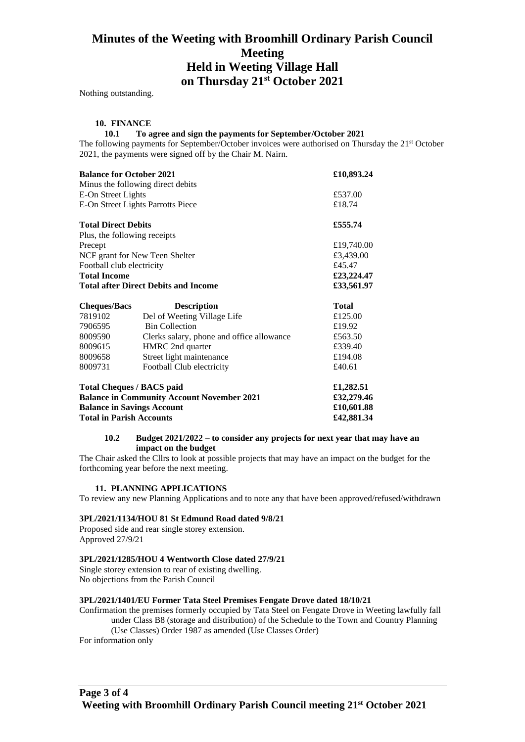# **Minutes of the Weeting with Broomhill Ordinary Parish Council Meeting Held in Weeting Village Hall on Thursday 21st October 2021**

Nothing outstanding.

### **10. FINANCE**

### **10.1 To agree and sign the payments for September/October 2021**

The following payments for September/October invoices were authorised on Thursday the 21<sup>st</sup> October 2021, the payments were signed off by the Chair M. Nairn.

| <b>Balance for October 2021</b>                   | £10,893.24                                |              |
|---------------------------------------------------|-------------------------------------------|--------------|
| Minus the following direct debits                 |                                           |              |
| E-On Street Lights                                |                                           | £537.00      |
| E-On Street Lights Parrotts Piece                 |                                           | £18.74       |
| <b>Total Direct Debits</b>                        |                                           | £555.74      |
| Plus, the following receipts                      |                                           |              |
| Precept                                           |                                           | £19,740.00   |
| NCF grant for New Teen Shelter                    |                                           | £3,439.00    |
| Football club electricity                         |                                           | £45.47       |
| <b>Total Income</b>                               |                                           | £23,224.47   |
| <b>Total after Direct Debits and Income</b>       |                                           | £33,561.97   |
| <b>Cheques/Bacs</b>                               | <b>Description</b>                        | <b>Total</b> |
| 7819102                                           | Del of Weeting Village Life               | £125.00      |
| 7906595                                           | <b>Bin Collection</b>                     | £19.92       |
| 8009590                                           | Clerks salary, phone and office allowance | £563.50      |
| 8009615                                           | HMRC 2nd quarter                          | £339.40      |
| 8009658                                           | Street light maintenance                  | £194.08      |
| 8009731                                           | Football Club electricity                 | £40.61       |
| <b>Total Cheques / BACS paid</b>                  | £1,282.51                                 |              |
| <b>Balance in Community Account November 2021</b> | £32,279.46                                |              |
| <b>Balance in Savings Account</b>                 | £10,601.88                                |              |

**Total in Parish Accounts £42,881.34**

## **10.2 Budget 2021/2022 – to consider any projects for next year that may have an impact on the budget**

The Chair asked the Cllrs to look at possible projects that may have an impact on the budget for the forthcoming year before the next meeting.

#### **11. PLANNING APPLICATIONS**

To review any new Planning Applications and to note any that have been approved/refused/withdrawn

#### **3PL/2021/1134/HOU 81 St Edmund Road dated 9/8/21**

Proposed side and rear single storey extension. Approved 27/9/21

#### **3PL/2021/1285/HOU 4 Wentworth Close dated 27/9/21**

Single storey extension to rear of existing dwelling. No objections from the Parish Council

#### **3PL/2021/1401/EU Former Tata Steel Premises Fengate Drove dated 18/10/21**

Confirmation the premises formerly occupied by Tata Steel on Fengate Drove in Weeting lawfully fall under Class B8 (storage and distribution) of the Schedule to the Town and Country Planning (Use Classes) Order 1987 as amended (Use Classes Order)

For information only